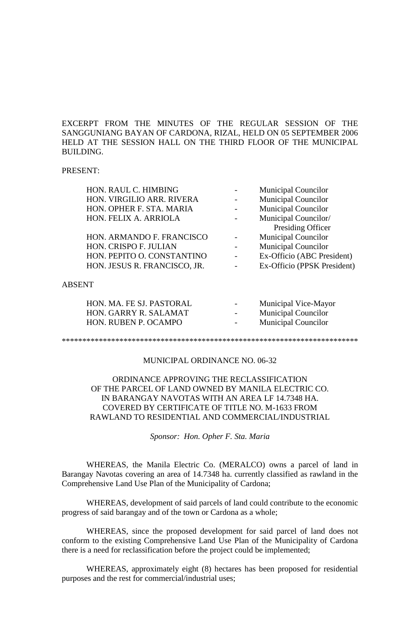EXCERPT FROM THE MINUTES OF THE REGULAR SESSION OF THE SANGGUNIANG BAYAN OF CARDONA, RIZAL, HELD ON 05 SEPTEMBER 2006 HELD AT THE SESSION HALL ON THE THIRD FLOOR OF THE MUNICIPAL BUILDING.

### PRESENT:

| <b>Municipal Councilor</b><br>HON. VIRGILIO ARR. RIVERA<br><b>Municipal Councilor</b><br>HON. OPHER F. STA. MARIA<br>Municipal Councilor/<br>HON. FELIX A. ARRIOLA<br>Presiding Officer<br><b>Municipal Councilor</b><br>HON. ARMANDO F. FRANCISCO<br>HON. CRISPO F. JULIAN<br><b>Municipal Councilor</b><br>Ex-Officio (ABC President)<br>HON. PEPITO O. CONSTANTINO<br>Ex-Officio (PPSK President)<br>HON. JESUS R. FRANCISCO, JR.<br><b>ABSENT</b><br>HON. MA. FE SJ. PASTORAL<br>Municipal Vice-Mayor<br>HON. GARRY R. SALAMAT<br><b>Municipal Councilor</b><br><b>Municipal Councilor</b><br>HON. RUBEN P. OCAMPO |  | HON. RAUL C. HIMBING |  | <b>Municipal Councilor</b> |  |
|------------------------------------------------------------------------------------------------------------------------------------------------------------------------------------------------------------------------------------------------------------------------------------------------------------------------------------------------------------------------------------------------------------------------------------------------------------------------------------------------------------------------------------------------------------------------------------------------------------------------|--|----------------------|--|----------------------------|--|
|                                                                                                                                                                                                                                                                                                                                                                                                                                                                                                                                                                                                                        |  |                      |  |                            |  |
|                                                                                                                                                                                                                                                                                                                                                                                                                                                                                                                                                                                                                        |  |                      |  |                            |  |
|                                                                                                                                                                                                                                                                                                                                                                                                                                                                                                                                                                                                                        |  |                      |  |                            |  |
|                                                                                                                                                                                                                                                                                                                                                                                                                                                                                                                                                                                                                        |  |                      |  |                            |  |
|                                                                                                                                                                                                                                                                                                                                                                                                                                                                                                                                                                                                                        |  |                      |  |                            |  |
|                                                                                                                                                                                                                                                                                                                                                                                                                                                                                                                                                                                                                        |  |                      |  |                            |  |
|                                                                                                                                                                                                                                                                                                                                                                                                                                                                                                                                                                                                                        |  |                      |  |                            |  |
|                                                                                                                                                                                                                                                                                                                                                                                                                                                                                                                                                                                                                        |  |                      |  |                            |  |
|                                                                                                                                                                                                                                                                                                                                                                                                                                                                                                                                                                                                                        |  |                      |  |                            |  |
|                                                                                                                                                                                                                                                                                                                                                                                                                                                                                                                                                                                                                        |  |                      |  |                            |  |
|                                                                                                                                                                                                                                                                                                                                                                                                                                                                                                                                                                                                                        |  |                      |  |                            |  |
|                                                                                                                                                                                                                                                                                                                                                                                                                                                                                                                                                                                                                        |  |                      |  |                            |  |

#### \*\*\*\*\*\*\*\*\*\*\*\*\*\*\*\*\*\*\*\*\*\*\*\*\*\*\*\*\*\*\*\*\*\*\*\*\*\*\*\*\*\*\*\*\*\*\*\*\*\*\*\*\*\*\*\*\*\*\*\*\*\*\*\*\*\*\*\*\*\*\*\*

# MUNICIPAL ORDINANCE NO. 06-32

ORDINANCE APPROVING THE RECLASSIFICATION OF THE PARCEL OF LAND OWNED BY MANILA ELECTRIC CO. IN BARANGAY NAVOTAS WITH AN AREA LF 14.7348 HA. COVERED BY CERTIFICATE OF TITLE NO. M-1633 FROM RAWLAND TO RESIDENTIAL AND COMMERCIAL/INDUSTRIAL

*Sponsor: Hon. Opher F. Sta. Maria*

WHEREAS, the Manila Electric Co. (MERALCO) owns a parcel of land in Barangay Navotas covering an area of 14.7348 ha. currently classified as rawland in the Comprehensive Land Use Plan of the Municipality of Cardona;

WHEREAS, development of said parcels of land could contribute to the economic progress of said barangay and of the town or Cardona as a whole;

WHEREAS, since the proposed development for said parcel of land does not conform to the existing Comprehensive Land Use Plan of the Municipality of Cardona there is a need for reclassification before the project could be implemented;

WHEREAS, approximately eight (8) hectares has been proposed for residential purposes and the rest for commercial/industrial uses;